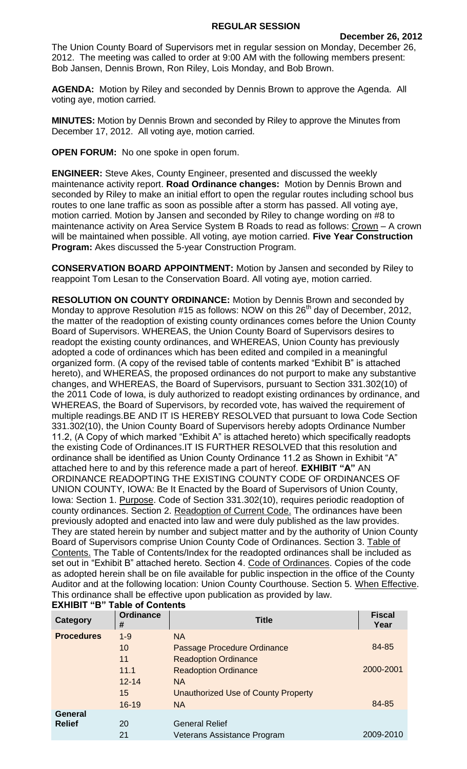## **REGULAR SESSION**

The Union County Board of Supervisors met in regular session on Monday, December 26, 2012. The meeting was called to order at 9:00 AM with the following members present: Bob Jansen, Dennis Brown, Ron Riley, Lois Monday, and Bob Brown.

**AGENDA:** Motion by Riley and seconded by Dennis Brown to approve the Agenda. All voting aye, motion carried.

**MINUTES:** Motion by Dennis Brown and seconded by Riley to approve the Minutes from December 17, 2012. All voting aye, motion carried.

**OPEN FORUM:** No one spoke in open forum.

**ENGINEER:** Steve Akes, County Engineer, presented and discussed the weekly maintenance activity report. **Road Ordinance changes:** Motion by Dennis Brown and seconded by Riley to make an initial effort to open the regular routes including school bus routes to one lane traffic as soon as possible after a storm has passed. All voting aye, motion carried. Motion by Jansen and seconded by Riley to change wording on #8 to maintenance activity on Area Service System B Roads to read as follows: Crown - A crown will be maintained when possible. All voting, aye motion carried. **Five Year Construction Program:** Akes discussed the 5-year Construction Program.

**CONSERVATION BOARD APPOINTMENT:** Motion by Jansen and seconded by Riley to reappoint Tom Lesan to the Conservation Board. All voting aye, motion carried.

**RESOLUTION ON COUNTY ORDINANCE:** Motion by Dennis Brown and seconded by Monday to approve Resolution #15 as follows: NOW on this  $26<sup>th</sup>$  day of December, 2012, the matter of the readoption of existing county ordinances comes before the Union County Board of Supervisors. WHEREAS, the Union County Board of Supervisors desires to readopt the existing county ordinances, and WHEREAS, Union County has previously adopted a code of ordinances which has been edited and compiled in a meaningful organized form. (A copy of the revised table of contents marked "Exhibit B" is attached hereto), and WHEREAS, the proposed ordinances do not purport to make any substantive changes, and WHEREAS, the Board of Supervisors, pursuant to Section 331.302(10) of the 2011 Code of Iowa, is duly authorized to readopt existing ordinances by ordinance, and WHEREAS, the Board of Supervisors, by recorded vote, has waived the requirement of multiple readings.BE AND IT IS HEREBY RESOLVED that pursuant to Iowa Code Section 331.302(10), the Union County Board of Supervisors hereby adopts Ordinance Number 11.2, (A Copy of which marked "Exhibit A" is attached hereto) which specifically readopts the existing Code of Ordinances.IT IS FURTHER RESOLVED that this resolution and ordinance shall be identified as Union County Ordinance 11.2 as Shown in Exhibit "A" attached here to and by this reference made a part of hereof. **EXHIBIT "A"** AN ORDINANCE READOPTING THE EXISTING COUNTY CODE OF ORDINANCES OF UNION COUNTY, IOWA: Be It Enacted by the Board of Supervisors of Union County, Iowa: Section 1. Purpose. Code of Section 331.302(10), requires periodic readoption of county ordinances. Section 2. Readoption of Current Code. The ordinances have been previously adopted and enacted into law and were duly published as the law provides. They are stated herein by number and subject matter and by the authority of Union County Board of Supervisors comprise Union County Code of Ordinances. Section 3. Table of Contents. The Table of Contents/Index for the readopted ordinances shall be included as set out in "Exhibit B" attached hereto. Section 4. Code of Ordinances. Copies of the code as adopted herein shall be on file available for public inspection in the office of the County Auditor and at the following location: Union County Courthouse. Section 5. When Effective. This ordinance shall be effective upon publication as provided by law.

| Category          | <b>Ordinance</b><br># | <b>Title</b>                        | <b>Fiscal</b><br>Year |
|-------------------|-----------------------|-------------------------------------|-----------------------|
| <b>Procedures</b> | $1 - 9$               | <b>NA</b>                           |                       |
|                   | 10                    | Passage Procedure Ordinance         | 84-85                 |
|                   | 11                    | <b>Readoption Ordinance</b>         |                       |
|                   | 11.1                  | <b>Readoption Ordinance</b>         | 2000-2001             |
|                   | $12 - 14$             | <b>NA</b>                           |                       |
|                   | 15                    | Unauthorized Use of County Property |                       |
|                   | $16 - 19$             | <b>NA</b>                           | 84-85                 |
| <b>General</b>    |                       |                                     |                       |
| <b>Relief</b>     | 20                    | <b>General Relief</b>               |                       |
|                   | 21                    | Veterans Assistance Program         | 2009-2010             |

## **EXHIBIT "B" Table of Contents**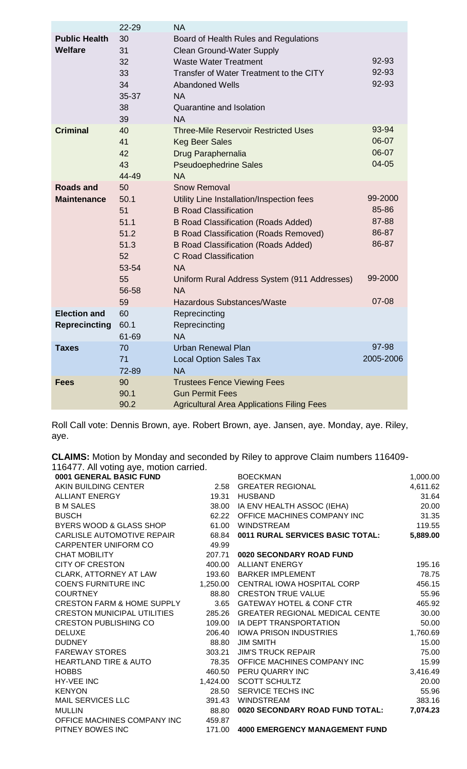|                                             | 22-29                                                                        | <b>NA</b>                                                                                                                                                                                                                                                                                                                                                                            |                                                                 |
|---------------------------------------------|------------------------------------------------------------------------------|--------------------------------------------------------------------------------------------------------------------------------------------------------------------------------------------------------------------------------------------------------------------------------------------------------------------------------------------------------------------------------------|-----------------------------------------------------------------|
| <b>Public Health</b><br><b>Welfare</b>      | 30<br>31<br>32<br>33<br>34<br>35-37<br>38<br>39                              | Board of Health Rules and Regulations<br><b>Clean Ground-Water Supply</b><br><b>Waste Water Treatment</b><br>Transfer of Water Treatment to the CITY<br><b>Abandoned Wells</b><br><b>NA</b><br><b>Quarantine and Isolation</b><br><b>NA</b>                                                                                                                                          | 92-93<br>92-93<br>92-93                                         |
| <b>Criminal</b>                             | 40<br>41<br>42<br>43<br>44-49                                                | <b>Three-Mile Reservoir Restricted Uses</b><br><b>Keg Beer Sales</b><br>Drug Paraphernalia<br><b>Pseudoephedrine Sales</b><br><b>NA</b>                                                                                                                                                                                                                                              | 93-94<br>06-07<br>06-07<br>04-05                                |
| <b>Roads and</b><br><b>Maintenance</b>      | 50<br>50.1<br>51<br>51.1<br>51.2<br>51.3<br>52<br>53-54<br>55<br>56-58<br>59 | Snow Removal<br>Utility Line Installation/Inspection fees<br><b>B Road Classification</b><br><b>B Road Classification (Roads Added)</b><br><b>B Road Classification (Roads Removed)</b><br><b>B Road Classification (Roads Added)</b><br><b>C</b> Road Classification<br><b>NA</b><br>Uniform Rural Address System (911 Addresses)<br><b>NA</b><br><b>Hazardous Substances/Waste</b> | 99-2000<br>85-86<br>87-88<br>86-87<br>86-87<br>99-2000<br>07-08 |
| <b>Election and</b><br><b>Reprecincting</b> | 60<br>60.1<br>61-69                                                          | Reprecincting<br>Reprecincting<br><b>NA</b>                                                                                                                                                                                                                                                                                                                                          |                                                                 |
| Taxes                                       | 70<br>71<br>72-89                                                            | <b>Urban Renewal Plan</b><br><b>Local Option Sales Tax</b><br><b>NA</b>                                                                                                                                                                                                                                                                                                              | 97-98<br>2005-2006                                              |
| <b>Fees</b>                                 | 90<br>90.1<br>90.2                                                           | <b>Trustees Fence Viewing Fees</b><br><b>Gun Permit Fees</b><br><b>Agricultural Area Applications Filing Fees</b>                                                                                                                                                                                                                                                                    |                                                                 |

Roll Call vote: Dennis Brown, aye. Robert Brown, aye. Jansen, aye. Monday, aye. Riley, aye.

**CLAIMS:** Motion by Monday and seconded by Riley to approve Claim numbers 116409- 116477. All voting aye, motion carried.

| 0001 GENERAL BASIC FUND               |          | <b>BOECKMAN</b>                         | 1,000.00 |
|---------------------------------------|----------|-----------------------------------------|----------|
| AKIN BUILDING CENTER                  | 2.58     | <b>GREATER REGIONAL</b>                 | 4,611.62 |
| <b>ALLIANT ENERGY</b>                 | 19.31    | <b>HUSBAND</b>                          | 31.64    |
| <b>B M SALES</b>                      |          | 38.00 IA ENV HEALTH ASSOC (IEHA)        | 20.00    |
| <b>BUSCH</b>                          | 62.22    | OFFICE MACHINES COMPANY INC             | 31.35    |
| BYERS WOOD & GLASS SHOP               | 61.00    | <b>WINDSTREAM</b>                       | 119.55   |
| CARLISLE AUTOMOTIVE REPAIR            | 68.84    | <b>0011 RURAL SERVICES BASIC TOTAL:</b> | 5,889.00 |
| CARPENTER UNIFORM CO                  | 49.99    |                                         |          |
| <b>CHAT MOBILITY</b>                  | 207.71   | 0020 SECONDARY ROAD FUND                |          |
| <b>CITY OF CRESTON</b>                | 400.00   | <b>ALLIANT ENERGY</b>                   | 195.16   |
| CLARK, ATTORNEY AT LAW                | 193.60   | <b>BARKER IMPLEMENT</b>                 | 78.75    |
| <b>COEN'S FURNITURE INC</b>           | 1,250.00 | CENTRAL IOWA HOSPITAL CORP              | 456.15   |
| <b>COURTNEY</b>                       |          | 88.80 CRESTON TRUE VALUE                | 55.96    |
| <b>CRESTON FARM &amp; HOME SUPPLY</b> | 3.65     | <b>GATEWAY HOTEL &amp; CONF CTR</b>     | 465.92   |
| <b>CRESTON MUNICIPAL UTILITIES</b>    | 285.26   | <b>GREATER REGIONAL MEDICAL CENTE</b>   | 30.00    |
| <b>CRESTON PUBLISHING CO</b>          | 109.00   | IA DEPT TRANSPORTATION                  | 50.00    |
| <b>DELUXE</b>                         | 206.40   | <b>IOWA PRISON INDUSTRIES</b>           | 1,760.69 |
| <b>DUDNEY</b>                         | 88.80    | <b>JIM SMITH</b>                        | 15.00    |
| <b>FAREWAY STORES</b>                 | 303.21   | <b>JIM'S TRUCK REPAIR</b>               | 75.00    |
| <b>HEARTLAND TIRE &amp; AUTO</b>      | 78.35    | OFFICE MACHINES COMPANY INC             | 15.99    |
| <b>HOBBS</b>                          |          | 460.50 PERU QUARRY INC                  | 3,416.49 |
| HY-VEE INC                            |          | 1,424.00 SCOTT SCHULTZ                  | 20.00    |
| <b>KENYON</b>                         | 28.50    | SERVICE TECHS INC                       | 55.96    |
| <b>MAIL SERVICES LLC</b>              | 391.43   | <b>WINDSTREAM</b>                       | 383.16   |
| <b>MULLIN</b>                         | 88.80    | 0020 SECONDARY ROAD FUND TOTAL:         | 7,074.23 |
| OFFICE MACHINES COMPANY INC           | 459.87   |                                         |          |
| PITNEY BOWES INC                      | 171.00   | <b>4000 EMERGENCY MANAGEMENT FUND</b>   |          |